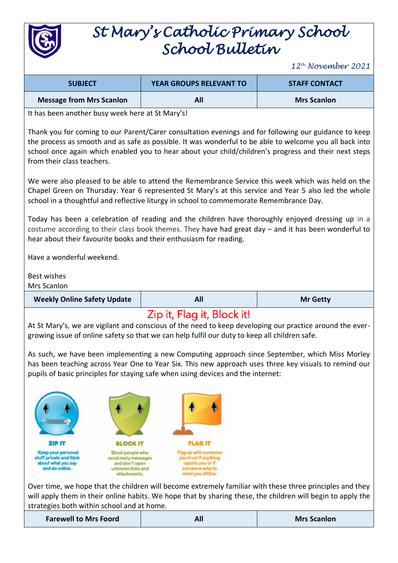

## *St Mary's Catholic Primary School School Bulletin*

*12th November 2021*

| <b>SUBJECT</b>                                                                                                                                                                                                                                                                                                                                          |                                                                                                | YEAR GROUPS RELEVANT TO                                                                                   | <b>STAFF CONTACT</b>                                                                                                                                                                                                    |  |
|---------------------------------------------------------------------------------------------------------------------------------------------------------------------------------------------------------------------------------------------------------------------------------------------------------------------------------------------------------|------------------------------------------------------------------------------------------------|-----------------------------------------------------------------------------------------------------------|-------------------------------------------------------------------------------------------------------------------------------------------------------------------------------------------------------------------------|--|
| <b>Message from Mrs Scanlon</b>                                                                                                                                                                                                                                                                                                                         |                                                                                                | All                                                                                                       | <b>Mrs Scanlon</b>                                                                                                                                                                                                      |  |
| It has been another busy week here at St Mary's!                                                                                                                                                                                                                                                                                                        |                                                                                                |                                                                                                           |                                                                                                                                                                                                                         |  |
| Thank you for coming to our Parent/Carer consultation evenings and for following our guidance to keep<br>the process as smooth and as safe as possible. It was wonderful to be able to welcome you all back into<br>school once again which enabled you to hear about your child/children's progress and their next steps<br>from their class teachers. |                                                                                                |                                                                                                           |                                                                                                                                                                                                                         |  |
| We were also pleased to be able to attend the Remembrance Service this week which was held on the<br>Chapel Green on Thursday. Year 6 represented St Mary's at this service and Year 5 also led the whole<br>school in a thoughtful and reflective liturgy in school to commemorate Remembrance Day.                                                    |                                                                                                |                                                                                                           |                                                                                                                                                                                                                         |  |
| Today has been a celebration of reading and the children have thoroughly enjoyed dressing up in a<br>costume according to their class book themes. They have had great day - and it has been wonderful to<br>hear about their favourite books and their enthusiasm for reading.                                                                         |                                                                                                |                                                                                                           |                                                                                                                                                                                                                         |  |
| Have a wonderful weekend.                                                                                                                                                                                                                                                                                                                               |                                                                                                |                                                                                                           |                                                                                                                                                                                                                         |  |
| Best wishes<br>Mrs Scanlon                                                                                                                                                                                                                                                                                                                              |                                                                                                |                                                                                                           |                                                                                                                                                                                                                         |  |
|                                                                                                                                                                                                                                                                                                                                                         |                                                                                                |                                                                                                           |                                                                                                                                                                                                                         |  |
| <b>Weekly Online Safety Update</b>                                                                                                                                                                                                                                                                                                                      |                                                                                                | All                                                                                                       | <b>Mr Getty</b>                                                                                                                                                                                                         |  |
| growing issue of online safety so that we can help fulfil our duty to keep all children safe.                                                                                                                                                                                                                                                           |                                                                                                | Zip it, Flag it, Block it!                                                                                | At St Mary's, we are vigilant and conscious of the need to keep developing our practice around the ever-                                                                                                                |  |
| pupils of basic principles for staying safe when using devices and the internet:                                                                                                                                                                                                                                                                        |                                                                                                |                                                                                                           | As such, we have been implementing a new Computing approach since September, which Miss Morley<br>has been teaching across Year One to Year Six. This new approach uses three key visuals to remind our                 |  |
| Лимант,                                                                                                                                                                                                                                                                                                                                                 |                                                                                                |                                                                                                           |                                                                                                                                                                                                                         |  |
| <b>ZIP IT</b>                                                                                                                                                                                                                                                                                                                                           | <b>BLOCK IT</b>                                                                                | <b>FLAG IT</b>                                                                                            |                                                                                                                                                                                                                         |  |
| Keep your personal<br>stuff private and think<br>about what you say<br>and do online.                                                                                                                                                                                                                                                                   | Block people who<br>send nasty messages<br>and don't open<br>unknown links and<br>attachments. | Flag up with someone<br>you trust if anything<br>upsets you or if<br>someone asks to<br>meet you offline. |                                                                                                                                                                                                                         |  |
|                                                                                                                                                                                                                                                                                                                                                         |                                                                                                |                                                                                                           | Over time, we hope that the children will become extremely familiar with these three principles and they<br>will apply them in their online habits. We hope that by sharing these, the children will begin to apply the |  |

**Farewell to Mrs Foord All All All All Mis Scanlon**